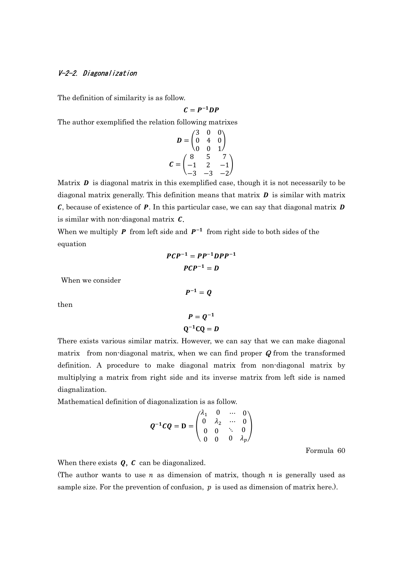## V-2-2. Diagonalization

The definition of similarity is as follow.

$$
C=P^{-1}DP
$$

The author exemplified the relation following matrixes

$$
D = \begin{pmatrix} 3 & 0 & 0 \\ 0 & 4 & 0 \\ 0 & 0 & 1 \end{pmatrix}
$$
  

$$
C = \begin{pmatrix} 8 & 5 & 7 \\ -1 & 2 & -1 \\ -3 & -3 & -2 \end{pmatrix}
$$

Matrix  $\bm{D}$  is diagonal matrix in this exemplified case, though it is not necessarily to be diagonal matrix generally. This definition means that matrix  $\bf{D}$  is similar with matrix  $C$ , because of existence of  $P$ . In this particular case, we can say that diagonal matrix  $D$ is similar with non-diagonal matrix  $\mathcal{C}$ .

When we multiply **P** from left side and  $P^{-1}$  from right side to both sides of the equation

$$
PCP^{-1} = PP^{-1}DPP^{-1}
$$

$$
PCP^{-1} = D
$$

 $P^{-1} = Q$ 

When we consider

 $\overline{P}$ 

then

$$
P = Q^{-1}
$$

$$
Q^{-1}CQ = D
$$

There exists various similar matrix. However, we can say that we can make diagonal matrix from non-diagonal matrix, when we can find proper  $Q$  from the transformed definition. A procedure to make diagonal matrix from non-diagonal matrix by multiplying a matrix from right side and its inverse matrix from left side is named diagnalization.

Mathematical definition of diagonalization is as follow.

$$
Q^{-1}CQ = D = \begin{pmatrix} \lambda_1 & 0 & \cdots & 0 \\ 0 & \lambda_2 & \cdots & 0 \\ 0 & 0 & \ddots & 0 \\ 0 & 0 & 0 & \lambda_p \end{pmatrix}
$$

Formula 60

When there exists  $Q$ ,  $C$  can be diagonalized.

(The author wants to use  $n$  as dimension of matrix, though  $n$  is generally used as sample size. For the prevention of confusion,  $p$  is used as dimension of matrix here.).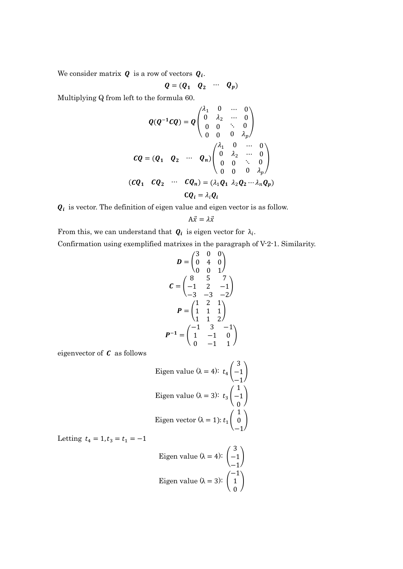We consider matrix  $\boldsymbol{Q}$  is a row of vectors  $\boldsymbol{Q_i}$ .

$$
Q=(Q_1 \quad Q_2 \quad \cdots \quad Q_p)
$$

Multiplying Q from left to the formula 60.

$$
Q(Q^{-1}CQ) = Q\begin{pmatrix} \lambda_1 & 0 & \cdots & 0 \\ 0 & \lambda_2 & \cdots & 0 \\ 0 & 0 & \ddots & 0 \\ 0 & 0 & 0 & \lambda_p \end{pmatrix}
$$
  
\n
$$
CQ = (Q_1 \quad Q_2 \quad \cdots \quad Q_n) \begin{pmatrix} \lambda_1 & 0 & \cdots & 0 \\ 0 & \lambda_2 & \cdots & 0 \\ 0 & 0 & \ddots & 0 \\ 0 & 0 & 0 & \lambda_p \end{pmatrix}
$$
  
\n
$$
(CQ_1 \quad CQ_2 \quad \cdots \quad CQ_n) = (\lambda_1 Q_1 \quad \lambda_2 Q_2 \cdots \lambda_n Q_p)
$$
  
\n
$$
CQ_i = \lambda_i Q_i
$$

 $Q_i$  is vector. The definition of eigen value and eigen vector is as follow.

$$
A\vec{x} = \lambda \vec{x}
$$

From this, we can understand that  $\mathbf{Q}_i$  is eigen vector for  $\lambda_i$ .

Confirmation using exemplified matrixes in the paragraph of V-2-1. Similarity.

$$
D = \begin{pmatrix} 3 & 0 & 0 \\ 0 & 4 & 0 \\ 0 & 0 & 1 \end{pmatrix}
$$
  
\n
$$
C = \begin{pmatrix} 8 & 5 & 7 \\ -1 & 2 & -1 \\ -3 & -3 & -2 \end{pmatrix}
$$
  
\n
$$
P = \begin{pmatrix} 1 & 2 & 1 \\ 1 & 1 & 1 \\ 1 & 1 & 2 \end{pmatrix}
$$
  
\n
$$
P^{-1} = \begin{pmatrix} -1 & 3 & -1 \\ 1 & -1 & 0 \\ 0 & -1 & 1 \end{pmatrix}
$$

eigenvector of  $C$  as follows

Eigen value (
$$
\lambda = 4
$$
):  $t_4 \begin{pmatrix} 3 \\ -1 \\ -1 \end{pmatrix}$   
Eigen value ( $\lambda = 3$ ):  $t_3 \begin{pmatrix} 1 \\ -1 \\ 0 \end{pmatrix}$   
Eigen vector ( $\lambda = 1$ ):  $t_1 \begin{pmatrix} 1 \\ 0 \\ -1 \end{pmatrix}$ 

Letting  $t_4 = 1, t_3 = t_1 = -1$ 

Eigen value (
$$
\lambda = 4
$$
):  $\begin{pmatrix} 3 \\ -1 \\ -1 \end{pmatrix}$   
Eigen value ( $\lambda = 3$ ):  $\begin{pmatrix} -1 \\ 1 \\ 0 \end{pmatrix}$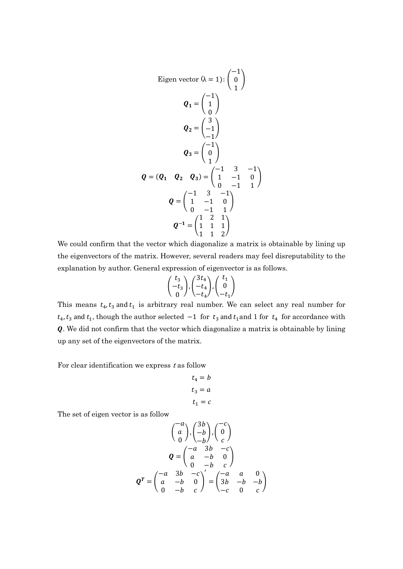Eigen vector 
$$
(\lambda = 1)
$$
:  $\begin{pmatrix} -1 \\ 0 \\ 1 \end{pmatrix}$   
\n $Q_1 = \begin{pmatrix} -1 \\ 1 \\ 0 \end{pmatrix}$   
\n $Q_2 = \begin{pmatrix} 3 \\ -1 \\ -1 \end{pmatrix}$   
\n $Q_3 = \begin{pmatrix} -1 \\ 0 \\ 1 \end{pmatrix}$   
\n $Q = (Q_1 \quad Q_2 \quad Q_3) = \begin{pmatrix} -1 & 3 & -1 \\ 1 & -1 & 0 \\ 0 & -1 & 1 \end{pmatrix}$   
\n $Q = \begin{pmatrix} -1 & 3 & -1 \\ 1 & -1 & 0 \\ 0 & -1 & 1 \end{pmatrix}$   
\n $Q^{-1} = \begin{pmatrix} 1 & 2 & 1 \\ 1 & 1 & 1 \\ 1 & 1 & 2 \end{pmatrix}$ 

We could confirm that the vector which diagonalize a matrix is obtainable by lining up the eigenvectors of the matrix. However, several readers may feel disreputability to the explanation by author. General expression of eigenvector is as follows.

$$
\begin{pmatrix}t_3\\-t_3\\0\end{pmatrix}\hspace{-0.5mm},\begin{pmatrix}3t_4\\-t_4\\-t_4\end{pmatrix}\hspace{-0.5mm},\begin{pmatrix}t_1\\0\\-t_1\end{pmatrix}
$$

This means  $t_4$ ,  $t_3$  and  $t_1$  is arbitrary real number. We can select any real number for  $t_4$ ,  $t_3$  and  $t_1$ , though the author selected  $-1$  for  $t_3$  and  $t_1$  and 1 for  $t_4$  for accordance with . We did not confirm that the vector which diagonalize a matrix is obtainable by lining up any set of the eigenvectors of the matrix.

For clear identification we express  $t$  as follow

$$
t_4 = b
$$

$$
t_3 = a
$$

$$
t_1 = c
$$

The set of eigen vector is as follow

$$
\begin{pmatrix} -a \\ a \\ 0 \end{pmatrix}, \begin{pmatrix} 3b \\ -b \\ b \end{pmatrix}, \begin{pmatrix} -c \\ 0 \\ c \end{pmatrix}
$$

$$
\mathbf{Q} = \begin{pmatrix} -a & 3b & -c \\ a & -b & 0 \\ 0 & -b & c \end{pmatrix}
$$

$$
\mathbf{Q}^T = \begin{pmatrix} -a & 3b & -c \\ a & -b & 0 \\ 0 & -b & c \end{pmatrix} = \begin{pmatrix} -a & a & 0 \\ 3b & -b & -b \\ -c & 0 & c \end{pmatrix}
$$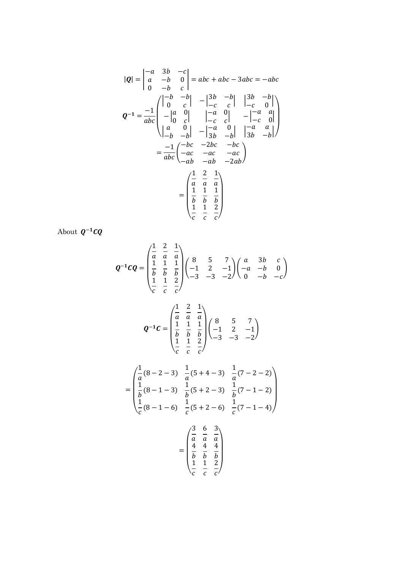$$
|\mathbf{Q}| = \begin{vmatrix} -a & 3b & -c \\ a & -b & 0 \\ 0 & -b & c \end{vmatrix} = abc + abc - 3abc = -abc
$$
  

$$
\mathbf{Q}^{-1} = \frac{-1}{abc} \begin{pmatrix} \begin{vmatrix} -b & -b \\ 0 & c \end{vmatrix} & -\begin{vmatrix} 3b & -b \\ -c & c \end{vmatrix} & \begin{vmatrix} 3b & -b \\ -c & 0 \end{vmatrix} \\ -\begin{vmatrix} a & 0 \\ -b & -b \end{vmatrix} & -\begin{vmatrix} -a & 0 \\ -a & 0 \end{vmatrix} & -\begin{vmatrix} -a & a \\ -c & 0 \end{vmatrix} \\ -\begin{vmatrix} -b & 0 \\ 3b & -b \end{vmatrix} & \begin{vmatrix} -a & a \\ 3b & -b \end{vmatrix} \end{pmatrix}
$$
  

$$
= \frac{-1}{abc} \begin{pmatrix} -bc & -2bc & -bc \\ -ac & -ac & -ac \\ -ab & -ab & -2ab \end{pmatrix}
$$
  

$$
= \begin{pmatrix} \frac{1}{a} & \frac{2}{a} & \frac{1}{a} \\ \frac{1}{b} & \frac{1}{b} & \frac{1}{b} \\ \frac{1}{c} & \frac{1}{c} & \frac{2}{c} \end{pmatrix}
$$

About  $Q^{-1}CQ$ 

$$
Q^{-1}CQ = \begin{pmatrix} \frac{1}{a} & \frac{2}{a} & \frac{1}{a} \\ \frac{1}{b} & \frac{1}{b} & \frac{1}{b} \\ \frac{1}{c} & \frac{1}{c} & \frac{2}{c} \end{pmatrix} \begin{pmatrix} 8 & 5 & 7 \\ -1 & 2 & -1 \\ -3 & -3 & -2 \end{pmatrix} \begin{pmatrix} a & 3b & c \\ -a & -b & 0 \\ 0 & -b & -c \end{pmatrix}
$$

$$
\begin{pmatrix} 1 & 2 & 1 \end{pmatrix}
$$

$$
Q^{-1}C = \begin{pmatrix} \overline{a} & \overline{a} & \overline{a} \\ \frac{1}{b} & \frac{1}{b} & \frac{1}{b} \\ \frac{1}{c} & \frac{1}{c} & \frac{2}{c} \end{pmatrix} \begin{pmatrix} 8 & 5 & 7 \\ -1 & 2 & -1 \\ -3 & -3 & -2 \end{pmatrix}
$$

$$
= \begin{pmatrix} \frac{1}{a}(8-2-3) & \frac{1}{a}(5+4-3) & \frac{1}{a}(7-2-2) \\ \frac{1}{b}(8-1-3) & \frac{1}{b}(5+2-3) & \frac{1}{b}(7-1-2) \\ \frac{1}{c}(8-1-6) & \frac{1}{c}(5+2-6) & \frac{1}{c}(7-1-4) \end{pmatrix}
$$

$$
\begin{pmatrix} \frac{3}{c} & \frac{6}{c} & \frac{3}{c} \\ \frac{1}{c} & \frac{1}{c} & \frac{3}{c} \end{pmatrix}
$$

$$
= \begin{pmatrix} a & a & a \\ 4 & 4 & 4 \\ \frac{b}{b} & \frac{b}{b} & \frac{b}{b} \\ \frac{1}{c} & \frac{1}{c} & \frac{2}{c} \end{pmatrix}
$$